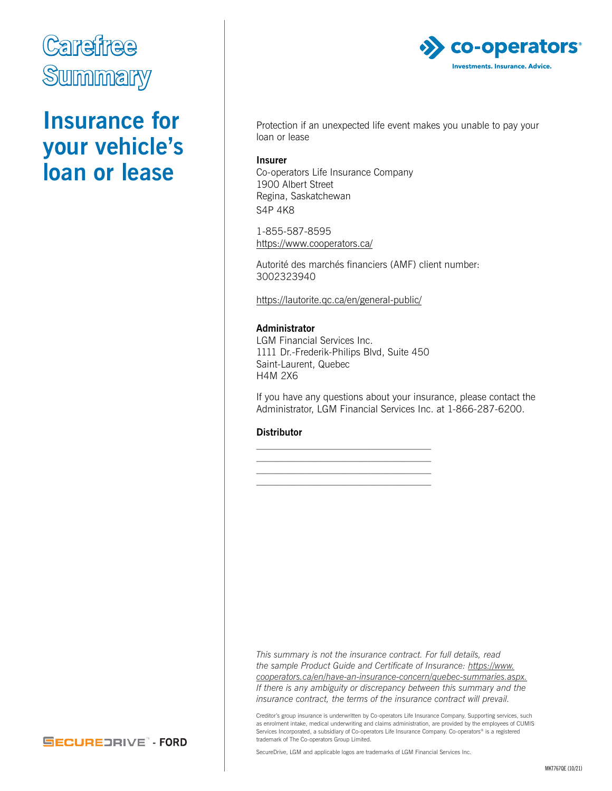

### **Insurance for your vehicle's loan or lease**



Protection if an unexpected life event makes you unable to pay your loan or lease

#### **Insurer**

Co-operators Life Insurance Company 1900 Albert Street Regina, Saskatchewan S4P 4K8

1-855-587-8595 <https://www.cooperators.ca/>

Autorité des marchés financiers (AMF) client number: 3002323940

<https://lautorite.qc.ca/en/general-public/>

#### **Administrator**

LGM Financial Services Inc. 1111 Dr.-Frederik-Philips Blvd, Suite 450 Saint-Laurent, Quebec H4M 2X6

\_\_\_\_\_\_\_\_\_\_\_\_\_\_\_\_\_\_\_\_\_\_\_\_\_\_\_\_\_\_\_\_\_\_\_ \_\_\_\_\_\_\_\_\_\_\_\_\_\_\_\_\_\_\_\_\_\_\_\_\_\_\_\_\_\_\_\_\_\_\_ \_\_\_\_\_\_\_\_\_\_\_\_\_\_\_\_\_\_\_\_\_\_\_\_\_\_\_\_\_\_\_\_\_\_\_ \_\_\_\_\_\_\_\_\_\_\_\_\_\_\_\_\_\_\_\_\_\_\_\_\_\_\_\_\_\_\_\_\_\_\_

If you have any questions about your insurance, please contact the Administrator, LGM Financial Services Inc. at 1-866-287-6200.

#### **Distributor**

*This summary is not the insurance contract. For full details, read the sample Product Guide and Certificate of Insurance: [https://www.](https://www.cooperators.ca/en/have-an-insurance-concern/quebec-summaries.aspx) [cooperators.ca/en/have-an-insurance-concern/quebec-summaries.aspx](https://www.cooperators.ca/en/have-an-insurance-concern/quebec-summaries.aspx). If there is any ambiguity or discrepancy between this summary and the insurance contract, the terms of the insurance contract will prevail.* 

Creditor's group insurance is underwritten by Co-operators Life Insurance Company. Supporting services, such as enrolment intake, medical underwriting and claims administration, are provided by the employees of CUMIS Services Incorporated, a subsidiary of Co-operators Life Insurance Company. Co-operators® is a registered trademark of The Co-operators Group Limited.

**SECUREDRIVE - FORD** 

SecureDrive, LGM and applicable logos are trademarks of LGM Financial Services Inc.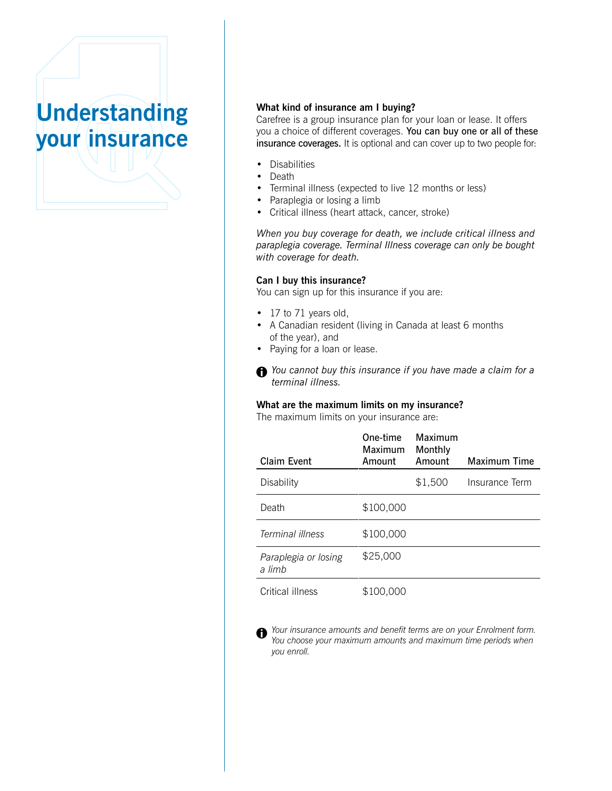## **Understanding your insurance**

#### **What kind of insurance am I buying?**

Carefree is a group insurance plan for your loan or lease. It offers you a choice of different coverages. You can buy one or all of these insurance coverages. It is optional and can cover up to two people for:

- Disabilities
- Death
- Terminal illness (expected to live 12 months or less)
- Paraplegia or losing a limb
- Critical illness (heart attack, cancer, stroke)

*When you buy coverage for death, we include critical illness and paraplegia coverage. Terminal Illness coverage can only be bought with coverage for death.*

#### **Can I buy this insurance?**

You can sign up for this insurance if you are:

- 17 to 71 years old,
- A Canadian resident (living in Canada at least 6 months of the year), and
- Paying for a loan or lease.
- *You cannot buy this insurance if you have made a claim for a terminal illness.*

#### **What are the maximum limits on my insurance?**

The maximum limits on your insurance are:

| Claim Event                    | One-time<br>Maximum<br>Amount | Maximum<br>Monthly<br>Amount | Maximum Time   |
|--------------------------------|-------------------------------|------------------------------|----------------|
| Disability                     |                               | \$1,500                      | Insurance Term |
| Death                          | \$100,000                     |                              |                |
| Terminal illness               | \$100,000                     |                              |                |
| Paraplegia or losing<br>a limb | \$25,000                      |                              |                |
| Critical illness               | \$100,000                     |                              |                |

*Your insurance amounts and benefit terms are on your Enrolment form.* A *You choose your maximum amounts and maximum time periods when you enroll.*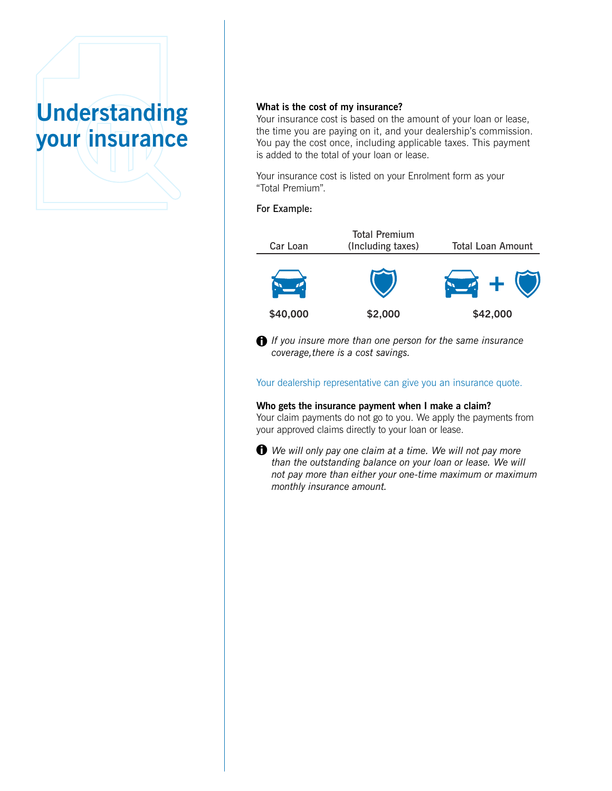# **Understanding your insurance**

#### **What is the cost of my insurance?**

Your insurance cost is based on the amount of your loan or lease, the time you are paying on it, and your dealership's commission. You pay the cost once, including applicable taxes. This payment is added to the total of your loan or lease.

Your insurance cost is listed on your Enrolment form as your "Total Premium".

#### For Example:



*If you insure more than one person for the same insurance coverage,there is a cost savings.*

Your dealership representative can give you an insurance quote.

**Who gets the insurance payment when I make a claim?** Your claim payments do not go to you. We apply the payments from your approved claims directly to your loan or lease.

*We will only pay one claim at a time. We will not pay more than the outstanding balance on your loan or lease. We will not pay more than either your one-time maximum or maximum monthly insurance amount.*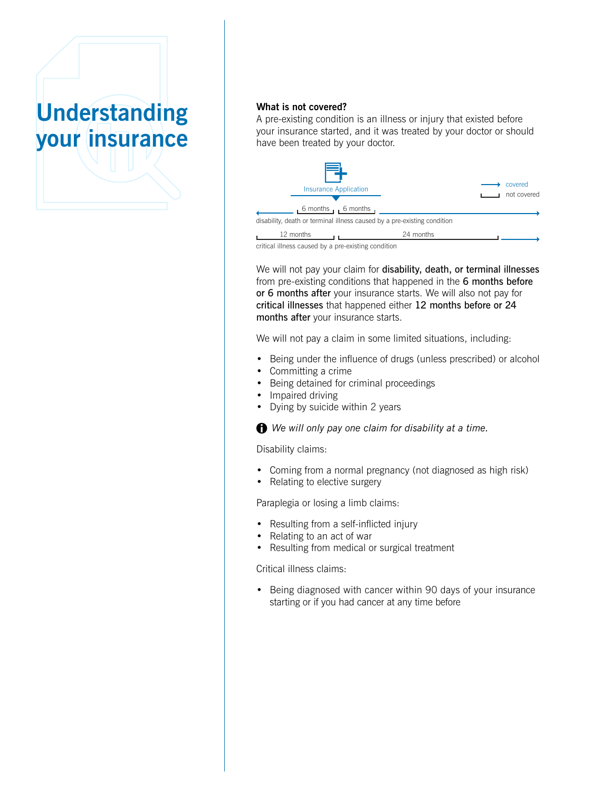

#### **What is not covered?**

A pre-existing condition is an illness or injury that existed before your insurance started, and it was treated by your doctor or should have been treated by your doctor.



critical illness caused by a pre-existing condition

We will not pay your claim for disability, death, or terminal illnesses from pre-existing conditions that happened in the 6 months before or 6 months after your insurance starts. We will also not pay for critical illnesses that happened either 12 months before or 24 months after your insurance starts.

We will not pay a claim in some limited situations, including:

- Being under the influence of drugs (unless prescribed) or alcohol
- Committing a crime
- Being detained for criminal proceedings
- Impaired driving
- Dying by suicide within 2 years

*We will only pay one claim for disability at a time.*

Disability claims:

- Coming from a normal pregnancy (not diagnosed as high risk)
- Relating to elective surgery

Paraplegia or losing a limb claims:

- Resulting from a self-inflicted injury
- Relating to an act of war
- Resulting from medical or surgical treatment

Critical illness claims:

• Being diagnosed with cancer within 90 days of your insurance starting or if you had cancer at any time before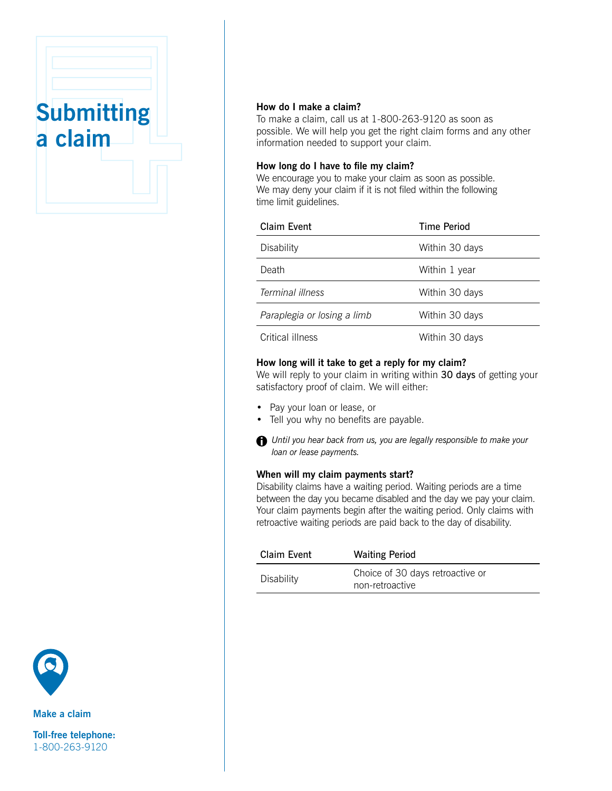



To make a claim, call us at 1-800-263-9120 as soon as possible. We will help you get the right claim forms and any other information needed to support your claim.

#### **How long do I have to file my claim?**

We encourage you to make your claim as soon as possible. We may deny your claim if it is not filed within the following time limit guidelines.

| Claim Event                 | Time Period    |
|-----------------------------|----------------|
| Disability                  | Within 30 days |
| Death                       | Within 1 year  |
| Terminal illness            | Within 30 days |
| Paraplegia or losing a limb | Within 30 days |
| Critical illness            | Within 30 days |

#### **How long will it take to get a reply for my claim?**

We will reply to your claim in writing within 30 days of getting your satisfactory proof of claim. We will either:

- Pay your loan or lease, or
- Tell you why no benefits are payable.
- *Until you hear back from us, you are legally responsible to make your loan or lease payments.*

#### **When will my claim payments start?**

Disability claims have a waiting period. Waiting periods are a time between the day you became disabled and the day we pay your claim. Your claim payments begin after the waiting period. Only claims with retroactive waiting periods are paid back to the day of disability.

| Claim Event | <b>Waiting Period</b>                               |
|-------------|-----------------------------------------------------|
| Disability  | Choice of 30 days retroactive or<br>non-retroactive |



**Make a claim**

**Toll-free telephone:** 1-800-263-9120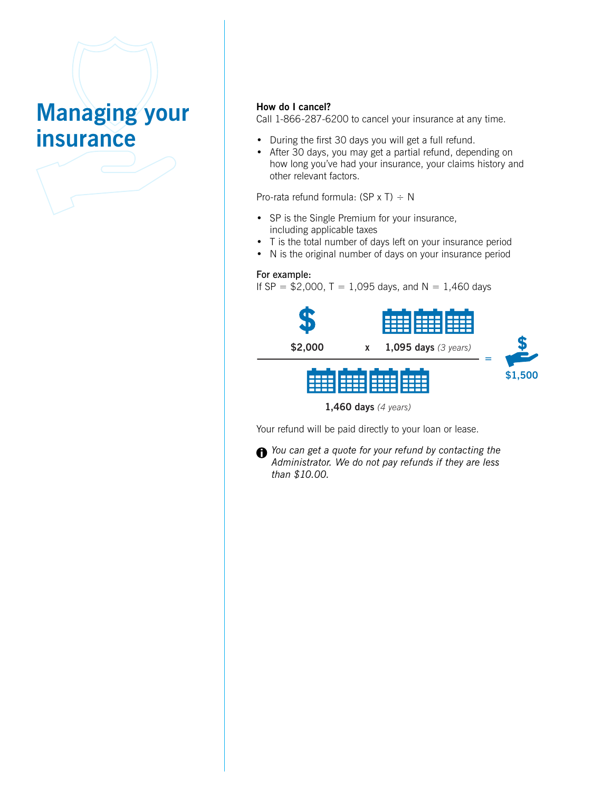## **Managing your insurance**

#### **How do I cancel?**

Call 1-866-287-6200 to cancel your insurance at any time.

- During the first 30 days you will get a full refund.
- After 30 days, you may get a partial refund, depending on how long you've had your insurance, your claims history and other relevant factors.

Pro-rata refund formula:  $(SP \times T) \div N$ 

- SP is the Single Premium for your insurance, including applicable taxes
- T is the total number of days left on your insurance period
- N is the original number of days on your insurance period

#### For example:

If SP =  $$2,000$ , T = 1,095 days, and N = 1,460 days



Your refund will be paid directly to your loan or lease.

*You can get a quote for your refund by contacting the Administrator. We do not pay refunds if they are less than \$10.00.*